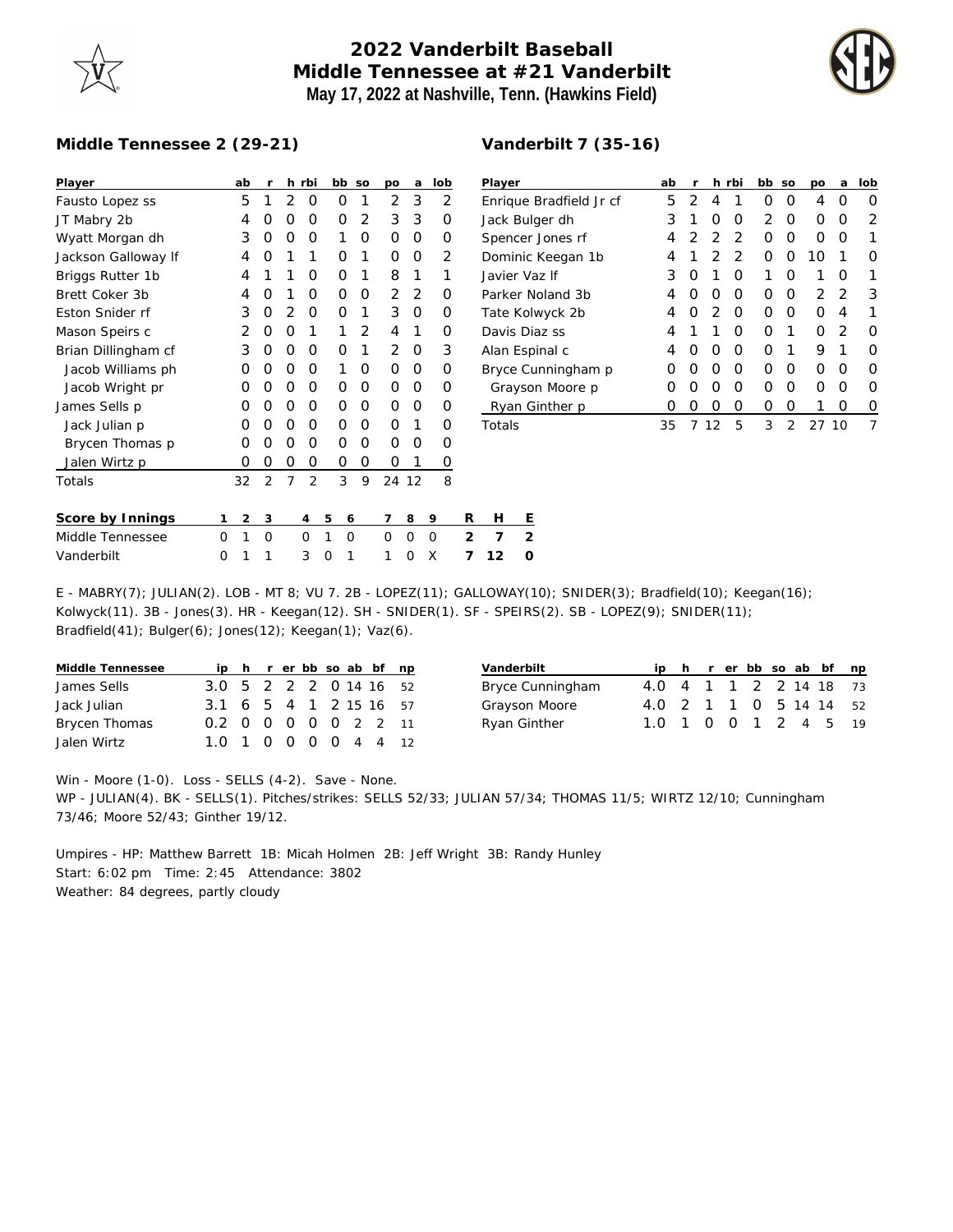## **2022 Vanderbilt Baseball Middle Tennessee at #21 Vanderbilt May 17, 2022 at Nashville, Tenn. (Hawkins Field)**



## **Middle Tennessee 2 (29-21)**

| Player              |   | ab | r              |               | h rbi          |   | bb       | SO | po             | a     | lob |                | Player    |                |
|---------------------|---|----|----------------|---------------|----------------|---|----------|----|----------------|-------|-----|----------------|-----------|----------------|
| Fausto Lopez ss     |   | 5  | 1              | 2             | O              |   | 0        | 1  | $\overline{2}$ | 3     | 2   |                | Enrique   |                |
| JT Mabry 2b         |   | 4  | Ο              | O             | O              |   | Ο        | 2  | 3              | 3     | Ο   |                | Jack Bul  |                |
| Wyatt Morgan dh     |   | 3  | 0              | O             | O              |   | 1        | O  | O              | Ο     | O   |                | Spencer   |                |
| Jackson Galloway If |   | 4  | Ο              | 1             | 1              |   | Ο        | 1  | O              | Ο     | 2   |                | Dominic   |                |
| Briggs Rutter 1b    |   | 4  | 1              | 1             | O              |   | Ο        | 1  | 8              | 1     | 1   |                | Javier Va |                |
| Brett Coker 3b      |   | 4  | Ω              | 1             | O              |   | Ο        | O  | $\overline{2}$ | 2     | O   |                | Parker N  |                |
| Eston Snider rf     |   | 3  | Ο              | $\mathcal{P}$ | 0              |   | Ο        | 1  | 3              | Ο     | O   |                | Tate Kol  |                |
| Mason Speirs c      |   | 2  | Ο              | O             | 1              |   | 1        | 2  | 4              | 1     | Ο   |                | Davis Di  |                |
| Brian Dillingham cf |   | 3  | Ο              | O             | O              |   | Ο        | 1  | $\overline{2}$ | Ο     | 3   |                | Alan Esp  |                |
| Jacob Williams ph   |   | Ο  | Ο              | O             | O              |   | 1        | O  | O              | Ο     | O   |                | Bryce Cu  |                |
| Jacob Wright pr     |   | Ο  | Ο              | O             | O              |   | Ω        | O  | 0              | Ο     | O   |                | Grayso    |                |
| James Sells p       |   | O  | Ο              | O             | O              |   | Ο        | O  | O              | Ο     | Ο   |                | Ryan G    |                |
| Jack Julian p       |   | Ο  | Ο              | O             | O              |   | Ο        | O  | 0              | 1     | O   |                | Totals    |                |
| Brycen Thomas p     |   | Ο  | Ο              | O             | O              |   | Ο        | O  | O              | Ο     | Ο   |                |           |                |
| Jalen Wirtz p       |   | 0  | 0              | O             | 0              |   | 0        | O  | Ο              | 1     | 0   |                |           |                |
| Totals              |   | 32 | $\overline{2}$ | 7             | $\overline{2}$ |   | 3        | 9  |                | 24 12 | 8   |                |           |                |
|                     |   |    |                |               |                |   |          |    |                |       |     |                |           |                |
| Score by Innings    | 1 | 2  | 3              |               | 4              | 5 | 6        |    | 7              | 8     | 9   | R              | Н         | Ε              |
| Middle Tennessee    | O | 1  | $\Omega$       |               | O              | 1 | $\Omega$ |    | $\Omega$       | 0     | O   | $\mathfrak{D}$ | 7         | $\overline{2}$ |
| Vanderbilt          | O | 1  | 1              |               | 3              | O | 1        |    | 1              | 0     | X   | 7              | 12        | 0              |

| Vanderbilt 7 (35-16) |
|----------------------|
|----------------------|

| Player                  | ab               | r                |   | h rbi         | bb.              | <b>SO</b>        | DО               | a                | lob |
|-------------------------|------------------|------------------|---|---------------|------------------|------------------|------------------|------------------|-----|
| Enrique Bradfield Jr cf | 5                | 2                | 4 | 1             | $\left( \right)$ | $\left( \right)$ | 4                | $\left( \right)$ | Ω   |
| Jack Bulger dh          | 3                | 1                | Ω | O             | $\mathcal{P}$    | Ω                | Ω                | Ω                | 2   |
| Spencer Jones rf        | 4                | 2                | 2 | $\mathcal{P}$ | $\left( \right)$ | Ω                | 0                | Ω                |     |
| Dominic Keegan 1b       | 4                | 1                | 2 | 2             | Ω                | $\left( \right)$ | 10               |                  | Ω   |
| Javier Vaz If           | 3                | O                | 1 | O             | 1                | Ω                | 1                | Ω                |     |
| Parker Noland 3b        | 4                | $\left( \right)$ | Ω | O             | Ω                | $\left( \right)$ | 2                | 2                | 3   |
| Tate Kolwyck 2b         | 4                | O                | 2 | O             | ∩                | Ω                | Ω                | 4                | 1   |
| Davis Diaz ss           | 4                | 1                | 1 | ∩             | O                | 1                | $\left( \right)$ | 2                | Ω   |
| Alan Espinal c          | 4                | $\left( \right)$ | Ω | O             | Ω                | 1                | 9                | 1                | Ω   |
| Bryce Cunningham p      | Ω                | Ω                | Ω | O             | ∩                | O                | Ω                | Ω                | ∩   |
| Grayson Moore p         | $\left( \right)$ | $\left( \right)$ | Ω | O             | Ω                | $\left( \right)$ | $\left( \right)$ | Ω                | Ω   |
| Ryan Ginther p          | $\left( \right)$ | ( )              | 0 | O             | Ω                | $\left( \right)$ |                  | Ω                | 0   |
| Totals                  | 35               |                  |   | 5             | 3                | 2                | 27               | 10               |     |

E - MABRY(7); JULIAN(2). LOB - MT 8; VU 7. 2B - LOPEZ(11); GALLOWAY(10); SNIDER(3); Bradfield(10); Keegan(16); Kolwyck(11). 3B - Jones(3). HR - Keegan(12). SH - SNIDER(1). SF - SPEIRS(2). SB - LOPEZ(9); SNIDER(11); Bradfield(41); Bulger(6); Jones(12); Keegan(1); Vaz(6).

| Middle Tennessee |                        |  |  |  | ip h r er bb so ab bf np |
|------------------|------------------------|--|--|--|--------------------------|
| James Sells      | 3.0 5 2 2 2 0 14 16 52 |  |  |  |                          |
| Jack Julian      | 3.1 6 5 4 1 2 15 16 57 |  |  |  |                          |
| Brycen Thomas    | 0.2 0 0 0 0 0 2 2 11   |  |  |  |                          |
| Jalen Wirtz      | 1.0 1 0 0 0 0 4 4 12   |  |  |  |                          |

| Vanderbilt       |                        |  |  |  | ip h r er bb so ab bf np |
|------------------|------------------------|--|--|--|--------------------------|
| Bryce Cunningham | 4.0 4 1 1 2 2 14 18 73 |  |  |  |                          |
| Grayson Moore    | 4.0 2 1 1 0 5 14 14 52 |  |  |  |                          |
| Ryan Ginther     | 1.0 1 0 0 1 2 4 5      |  |  |  | 19                       |

Win - Moore (1-0). Loss - SELLS (4-2). Save - None. WP - JULIAN(4). BK - SELLS(1). Pitches/strikes: SELLS 52/33; JULIAN 57/34; THOMAS 11/5; WIRTZ 12/10; Cunningham 73/46; Moore 52/43; Ginther 19/12.

Umpires - HP: Matthew Barrett 1B: Micah Holmen 2B: Jeff Wright 3B: Randy Hunley Start: 6:02 pm Time: 2:45 Attendance: 3802 Weather: 84 degrees, partly cloudy